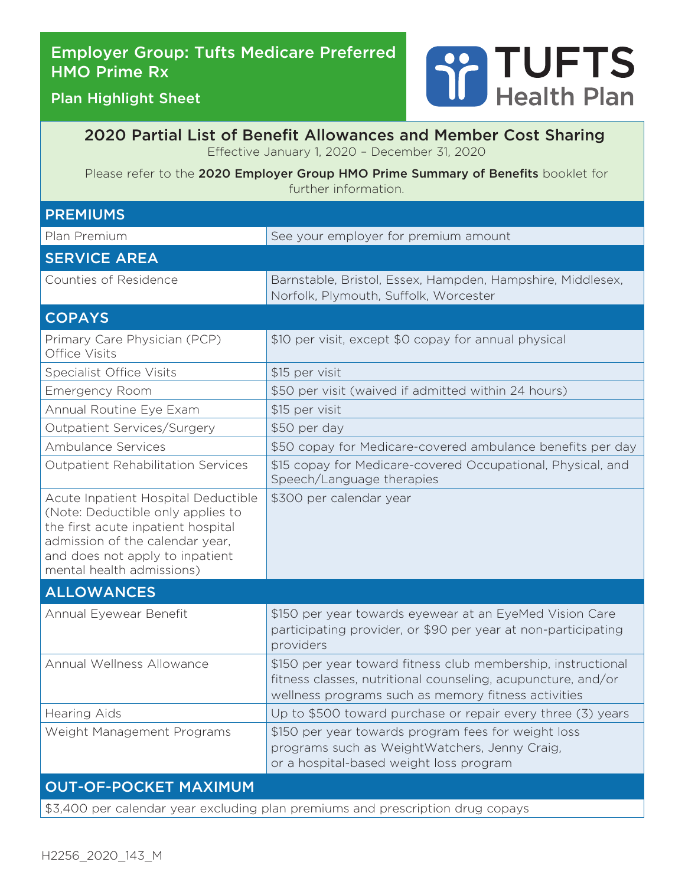# Employer Group: Tufts Medicare Preferred HMO Prime Rx



Plan Highlight Sheet

2020 Partial List of Benefit Allowances and Member Cost Sharing Effective January 1, 2020 – December 31, 2020

Please refer to the 2020 Employer Group HMO Prime Summary of Benefits booklet for further information.

| <b>PREMIUMS</b>                                                                                                                                                                                                   |                                                                                                                                                                                     |  |  |
|-------------------------------------------------------------------------------------------------------------------------------------------------------------------------------------------------------------------|-------------------------------------------------------------------------------------------------------------------------------------------------------------------------------------|--|--|
| Plan Premium                                                                                                                                                                                                      | See your employer for premium amount                                                                                                                                                |  |  |
| <b>SERVICE AREA</b>                                                                                                                                                                                               |                                                                                                                                                                                     |  |  |
| Counties of Residence                                                                                                                                                                                             | Barnstable, Bristol, Essex, Hampden, Hampshire, Middlesex,<br>Norfolk, Plymouth, Suffolk, Worcester                                                                                 |  |  |
| <b>COPAYS</b>                                                                                                                                                                                                     |                                                                                                                                                                                     |  |  |
| Primary Care Physician (PCP)<br>Office Visits                                                                                                                                                                     | \$10 per visit, except \$0 copay for annual physical                                                                                                                                |  |  |
| <b>Specialist Office Visits</b>                                                                                                                                                                                   | \$15 per visit                                                                                                                                                                      |  |  |
| <b>Emergency Room</b>                                                                                                                                                                                             | \$50 per visit (waived if admitted within 24 hours)                                                                                                                                 |  |  |
| Annual Routine Eye Exam                                                                                                                                                                                           | \$15 per visit                                                                                                                                                                      |  |  |
| Outpatient Services/Surgery                                                                                                                                                                                       | \$50 per day                                                                                                                                                                        |  |  |
| Ambulance Services                                                                                                                                                                                                | \$50 copay for Medicare-covered ambulance benefits per day                                                                                                                          |  |  |
| <b>Outpatient Rehabilitation Services</b>                                                                                                                                                                         | \$15 copay for Medicare-covered Occupational, Physical, and<br>Speech/Language therapies                                                                                            |  |  |
| Acute Inpatient Hospital Deductible<br>(Note: Deductible only applies to<br>the first acute inpatient hospital<br>admission of the calendar year,<br>and does not apply to inpatient<br>mental health admissions) | \$300 per calendar year                                                                                                                                                             |  |  |
| <b>ALLOWANCES</b>                                                                                                                                                                                                 |                                                                                                                                                                                     |  |  |
| Annual Eyewear Benefit                                                                                                                                                                                            | \$150 per year towards eyewear at an EyeMed Vision Care<br>participating provider, or \$90 per year at non-participating<br>providers                                               |  |  |
| Annual Wellness Allowance                                                                                                                                                                                         | \$150 per year toward fitness club membership, instructional<br>fitness classes, nutritional counseling, acupuncture, and/or<br>wellness programs such as memory fitness activities |  |  |
| <b>Hearing Aids</b>                                                                                                                                                                                               | Up to \$500 toward purchase or repair every three (3) years                                                                                                                         |  |  |
| Weight Management Programs                                                                                                                                                                                        | \$150 per year towards program fees for weight loss<br>programs such as WeightWatchers, Jenny Craig,<br>or a hospital-based weight loss program                                     |  |  |
| <b>OUT-OF-POCKET MAXIMUM</b>                                                                                                                                                                                      |                                                                                                                                                                                     |  |  |
| \$3,400 per calendar year excluding plan premiums and prescription drug copays                                                                                                                                    |                                                                                                                                                                                     |  |  |